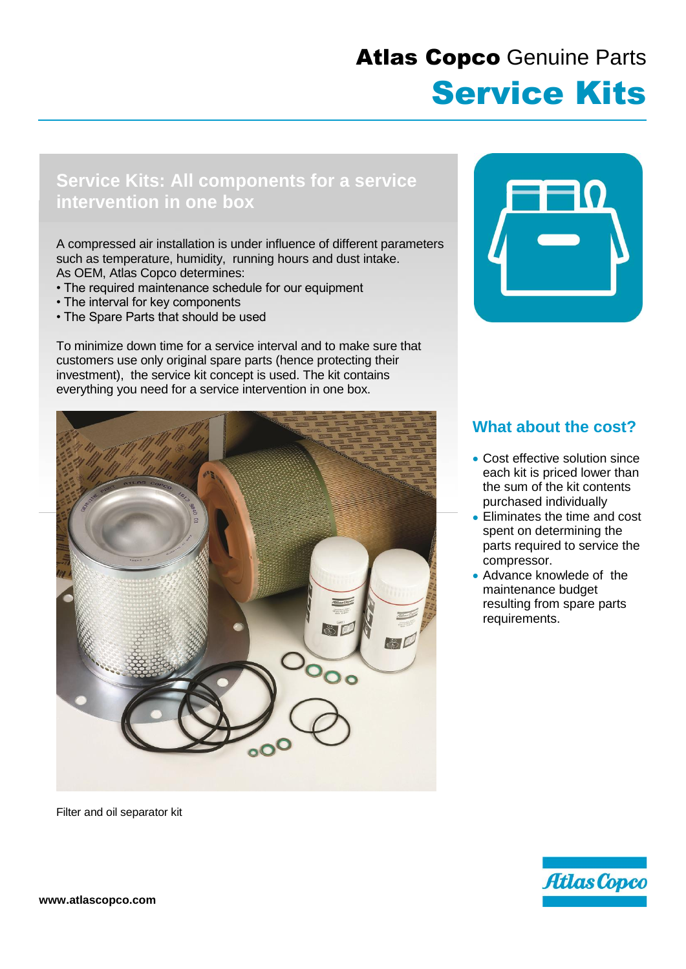## Atlas Copco Genuine Parts Service Kits

## **Service Kits: All components for a service intervention in one box**

A compressed air installation is under influence of different parameters such as temperature, humidity, running hours and dust intake. As OEM, Atlas Copco determines:

- The required maintenance schedule for our equipment
- The interval for key components
- The Spare Parts that should be used

To minimize down time for a service interval and to make sure that customers use only original spare parts (hence protecting their investment), the service kit concept is used. The kit contains everything you need for a service intervention in one box.



Filter and oil separator kit



## **What about the cost?**

- Cost effective solution since each kit is priced lower than the sum of the kit contents purchased individually
- Eliminates the time and cost spent on determining the parts required to service the compressor.
- Advance knowlede of the maintenance budget resulting from spare parts requirements.